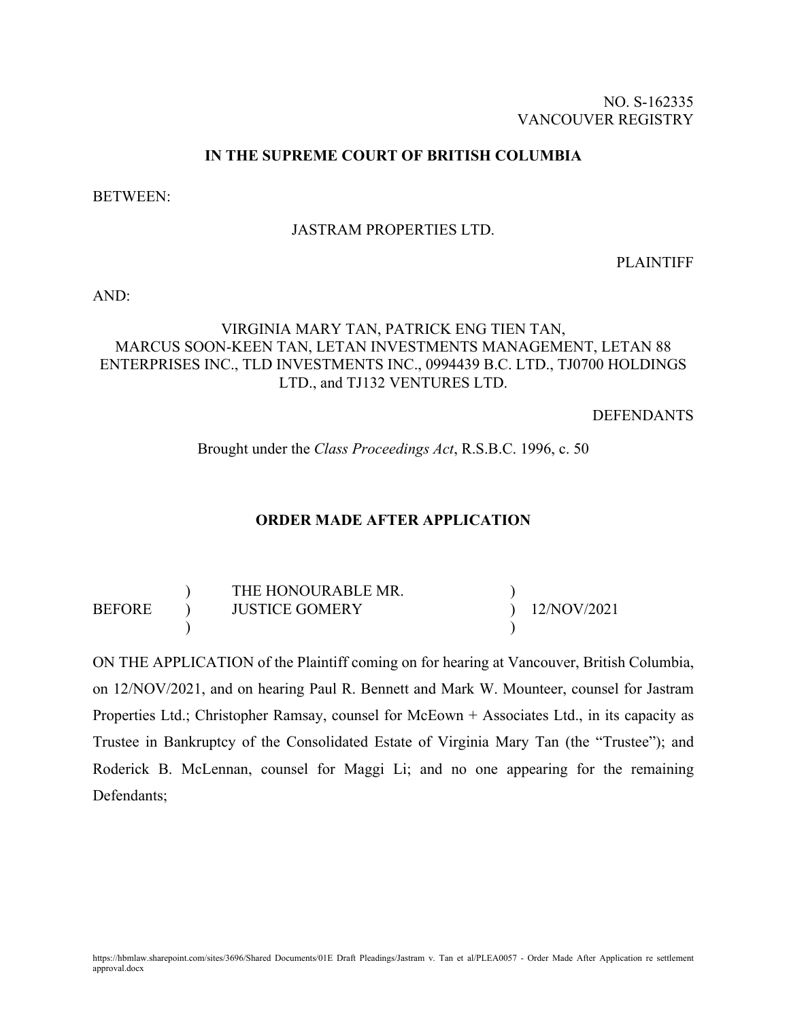## NO. S-162335 VANCOUVER REGISTRY

## **IN THE SUPREME COURT OF BRITISH COLUMBIA**

BETWEEN:

## JASTRAM PROPERTIES LTD.

PLAINTIFF

AND:

# VIRGINIA MARY TAN, PATRICK ENG TIEN TAN, MARCUS SOON-KEEN TAN, LETAN INVESTMENTS MANAGEMENT, LETAN 88 ENTERPRISES INC., TLD INVESTMENTS INC., 0994439 B.C. LTD., TJ0700 HOLDINGS LTD., and TJ132 VENTURES LTD.

DEFENDANTS

Brought under the *Class Proceedings Act*, R.S.B.C. 1996, c. 50

## **ORDER MADE AFTER APPLICATION**

THE HONOURABLE MR. <br>
JUSTICE GOMERY 
 ) 12/NOV/2021 BEFORE ) JUSTICE GOMERY ) and the set of  $\overline{\phantom{a}}$ 

ON THE APPLICATION of the Plaintiff coming on for hearing at Vancouver, British Columbia, on 12/NOV/2021, and on hearing Paul R. Bennett and Mark W. Mounteer, counsel for Jastram Properties Ltd.; Christopher Ramsay, counsel for McEown + Associates Ltd., in its capacity as Trustee in Bankruptcy of the Consolidated Estate of Virginia Mary Tan (the "Trustee"); and Roderick B. McLennan, counsel for Maggi Li; and no one appearing for the remaining Defendants;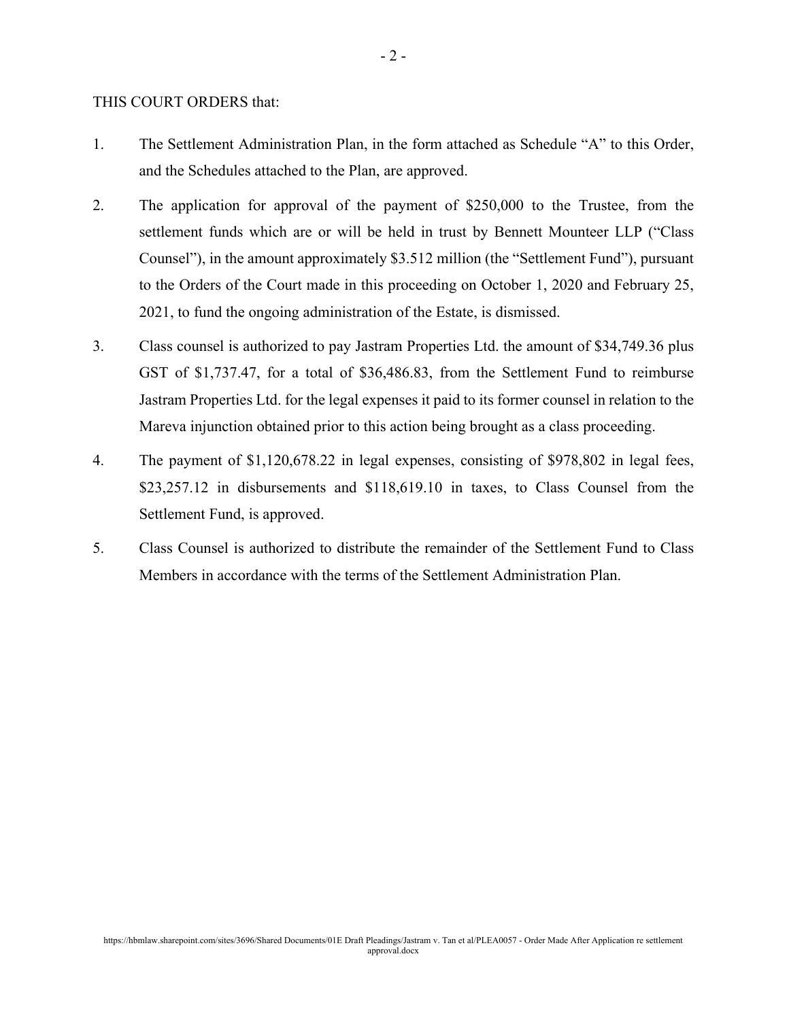#### THIS COURT ORDERS that:

- 1. The Settlement Administration Plan, in the form attached as Schedule "A" to this Order, and the Schedules attached to the Plan, are approved.
- 2. The application for approval of the payment of \$250,000 to the Trustee, from the settlement funds which are or will be held in trust by Bennett Mounteer LLP ("Class Counsel"), in the amount approximately \$3.512 million (the "Settlement Fund"), pursuant to the Orders of the Court made in this proceeding on October 1, 2020 and February 25, 2021, to fund the ongoing administration of the Estate, is dismissed.
- 3. Class counsel is authorized to pay Jastram Properties Ltd. the amount of \$34,749.36 plus GST of \$1,737.47, for a total of \$36,486.83, from the Settlement Fund to reimburse Jastram Properties Ltd. for the legal expenses it paid to its former counsel in relation to the Mareva injunction obtained prior to this action being brought as a class proceeding.
- 4. The payment of \$1,120,678.22 in legal expenses, consisting of \$978,802 in legal fees, \$23,257.12 in disbursements and \$118,619.10 in taxes, to Class Counsel from the Settlement Fund, is approved.
- 5. Class Counsel is authorized to distribute the remainder of the Settlement Fund to Class Members in accordance with the terms of the Settlement Administration Plan.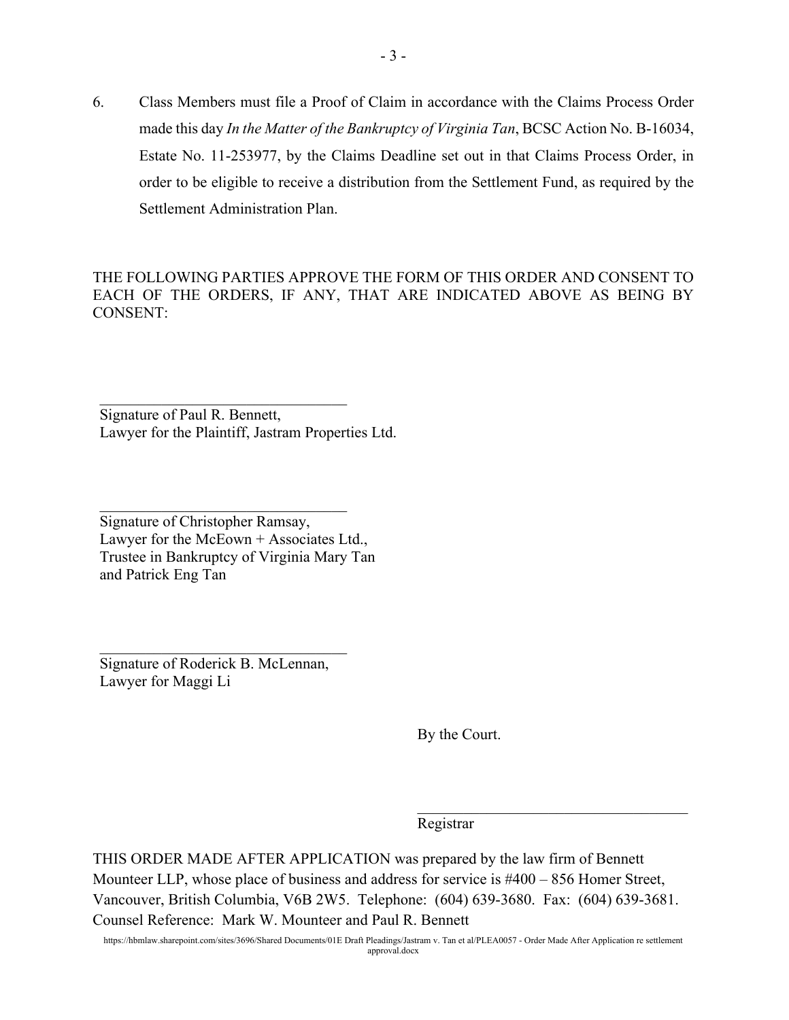6. Class Members must file a Proof of Claim in accordance with the Claims Process Order made this day *In the Matter of the Bankruptcy of Virginia Tan*, BCSC Action No. B-16034, Estate No. 11-253977, by the Claims Deadline set out in that Claims Process Order, in order to be eligible to receive a distribution from the Settlement Fund, as required by the Settlement Administration Plan.

THE FOLLOWING PARTIES APPROVE THE FORM OF THIS ORDER AND CONSENT TO EACH OF THE ORDERS, IF ANY, THAT ARE INDICATED ABOVE AS BEING BY CONSENT:

Signature of Paul R. Bennett, Lawyer for the Plaintiff, Jastram Properties Ltd.

 $\mathcal{L}_\text{max}$  , where  $\mathcal{L}_\text{max}$  , we have the set of the set of the set of the set of the set of the set of the set of the set of the set of the set of the set of the set of the set of the set of the set of the set of

Signature of Christopher Ramsay, Lawyer for the McEown  $+$  Associates Ltd., Trustee in Bankruptcy of Virginia Mary Tan and Patrick Eng Tan

Signature of Roderick B. McLennan, Lawyer for Maggi Li

By the Court.

 $\mathcal{L}_\mathcal{L}$  , where  $\mathcal{L}_\mathcal{L}$  , we have the set of the set of the set of the set of the set of the set of the set of the set of the set of the set of the set of the set of the set of the set of the set of the set

Registrar

THIS ORDER MADE AFTER APPLICATION was prepared by the law firm of Bennett Mounteer LLP, whose place of business and address for service is #400 – 856 Homer Street, Vancouver, British Columbia, V6B 2W5. Telephone: (604) 639-3680. Fax: (604) 639-3681. Counsel Reference: Mark W. Mounteer and Paul R. Bennett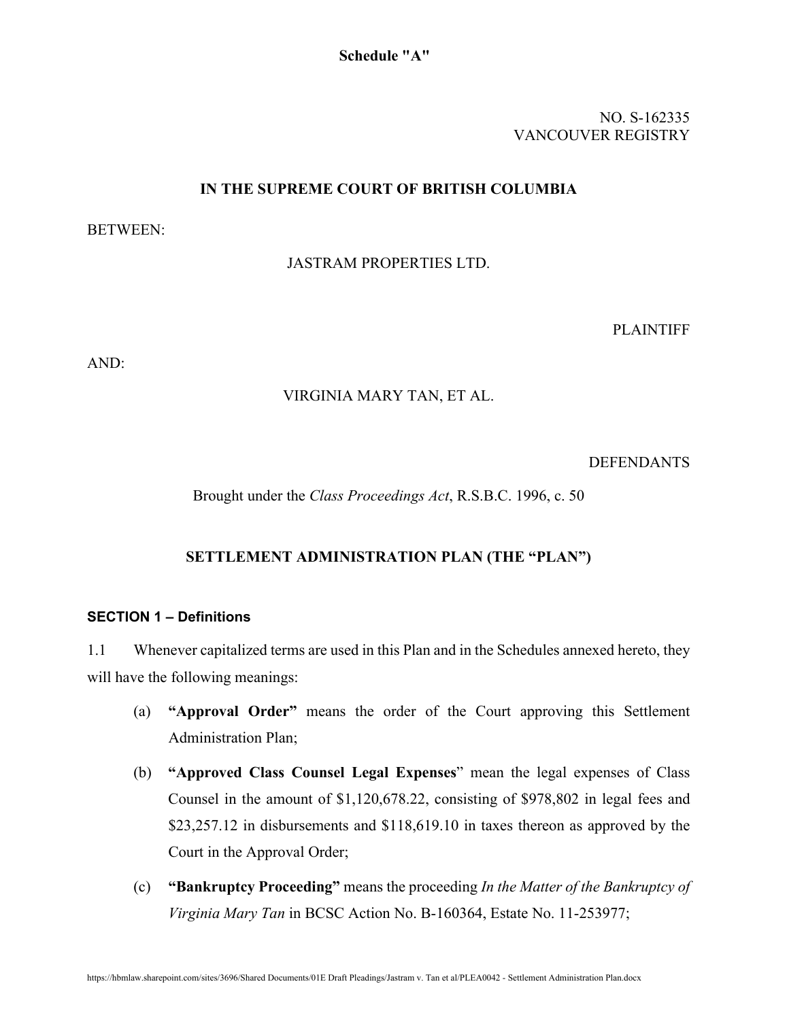NO. S-162335 VANCOUVER REGISTRY

## **IN THE SUPREME COURT OF BRITISH COLUMBIA**

## BETWEEN:

## JASTRAM PROPERTIES LTD.

PLAINTIFF

AND:

## VIRGINIA MARY TAN, ET AL.

DEFENDANTS

Brought under the *Class Proceedings Act*, R.S.B.C. 1996, c. 50

# **SETTLEMENT ADMINISTRATION PLAN (THE "PLAN")**

## **SECTION 1 – Definitions**

1.1 Whenever capitalized terms are used in this Plan and in the Schedules annexed hereto, they will have the following meanings:

- (a) **"Approval Order"** means the order of the Court approving this Settlement Administration Plan;
- (b) **"Approved Class Counsel Legal Expenses**" mean the legal expenses of Class Counsel in the amount of \$1,120,678.22, consisting of \$978,802 in legal fees and \$23,257.12 in disbursements and \$118,619.10 in taxes thereon as approved by the Court in the Approval Order;
- (c) **"Bankruptcy Proceeding"** means the proceeding *In the Matter of the Bankruptcy of Virginia Mary Tan* in BCSC Action No. B-160364, Estate No. 11-253977;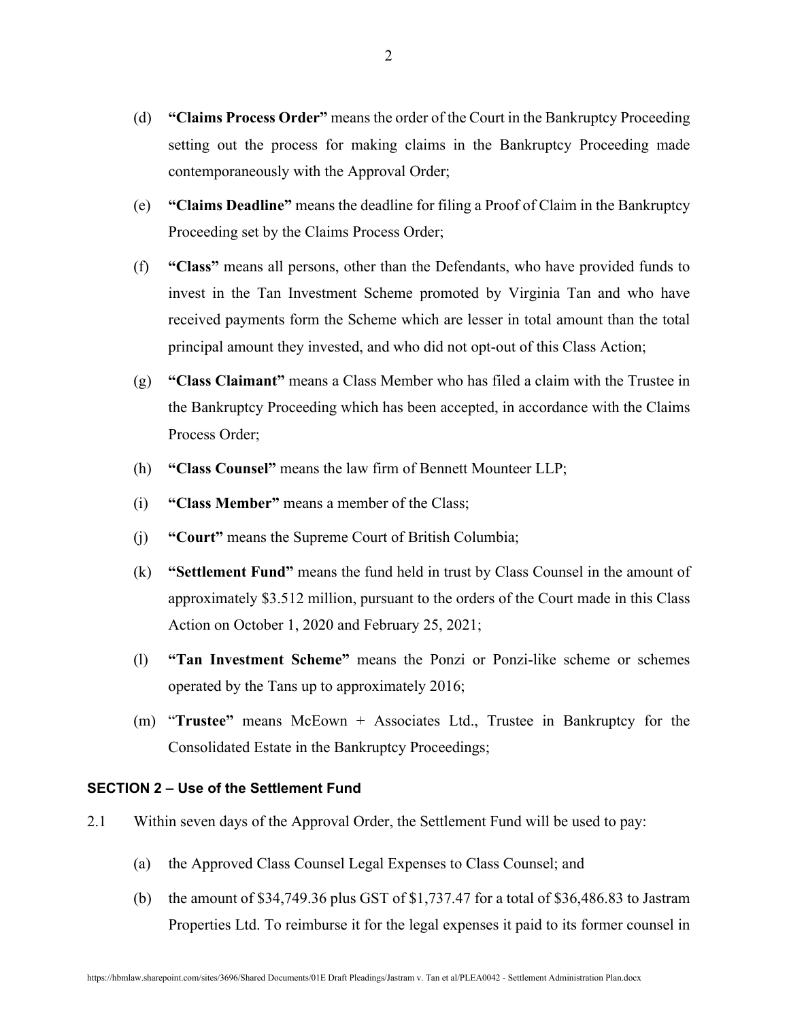- (d) **"Claims Process Order"** means the order of the Court in the Bankruptcy Proceeding setting out the process for making claims in the Bankruptcy Proceeding made contemporaneously with the Approval Order;
- (e) **"Claims Deadline"** means the deadline for filing a Proof of Claim in the Bankruptcy Proceeding set by the Claims Process Order;
- (f) **"Class"** means all persons, other than the Defendants, who have provided funds to invest in the Tan Investment Scheme promoted by Virginia Tan and who have received payments form the Scheme which are lesser in total amount than the total principal amount they invested, and who did not opt-out of this Class Action;
- (g) **"Class Claimant"** means a Class Member who has filed a claim with the Trustee in the Bankruptcy Proceeding which has been accepted, in accordance with the Claims Process Order;
- (h) **"Class Counsel"** means the law firm of Bennett Mounteer LLP;
- (i) **"Class Member"** means a member of the Class;
- (j) **"Court"** means the Supreme Court of British Columbia;
- (k) **"Settlement Fund"** means the fund held in trust by Class Counsel in the amount of approximately \$3.512 million, pursuant to the orders of the Court made in this Class Action on October 1, 2020 and February 25, 2021;
- (l) **"Tan Investment Scheme"** means the Ponzi or Ponzi-like scheme or schemes operated by the Tans up to approximately 2016;
- (m) "**Trustee"** means McEown + Associates Ltd., Trustee in Bankruptcy for the Consolidated Estate in the Bankruptcy Proceedings;

#### **SECTION 2 – Use of the Settlement Fund**

- 2.1 Within seven days of the Approval Order, the Settlement Fund will be used to pay:
	- (a) the Approved Class Counsel Legal Expenses to Class Counsel; and
	- (b) the amount of \$34,749.36 plus GST of  $$1,737.47$  for a total of  $$36,486.83$  to Jastram Properties Ltd. To reimburse it for the legal expenses it paid to its former counsel in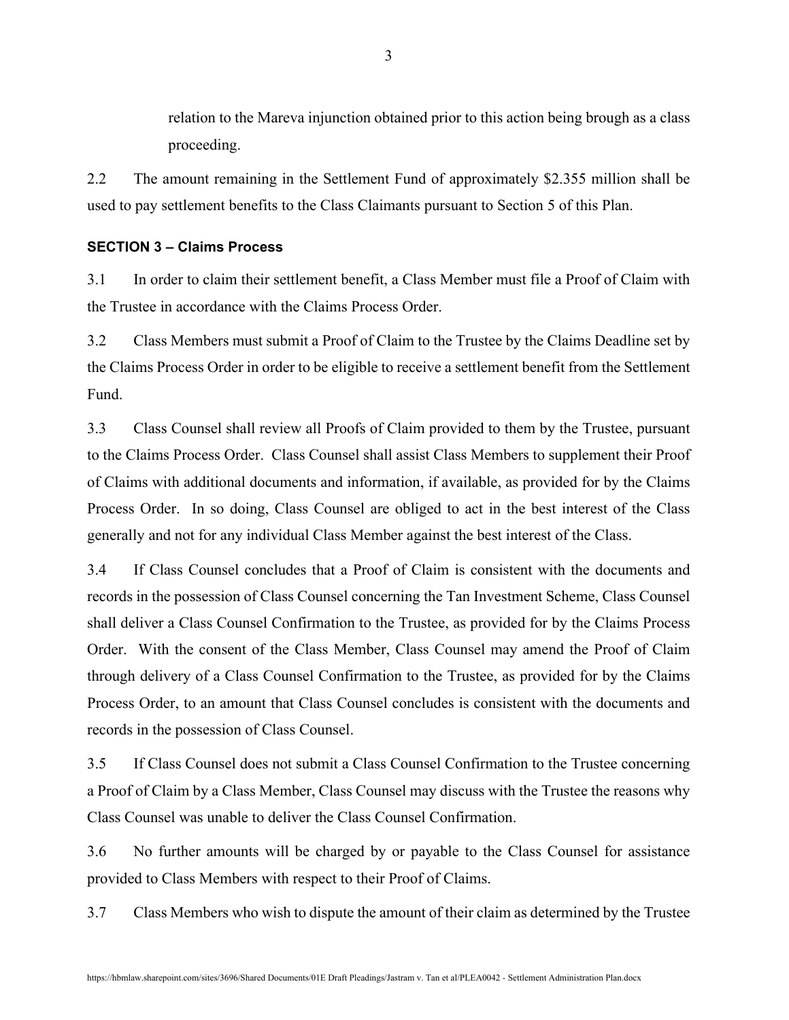relation to the Mareva injunction obtained prior to this action being brough as a class proceeding.

2.2 The amount remaining in the Settlement Fund of approximately \$2.355 million shall be used to pay settlement benefits to the Class Claimants pursuant to Section 5 of this Plan.

#### **SECTION 3 – Claims Process**

3.1 In order to claim their settlement benefit, a Class Member must file a Proof of Claim with the Trustee in accordance with the Claims Process Order.

3.2 Class Members must submit a Proof of Claim to the Trustee by the Claims Deadline set by the Claims Process Order in order to be eligible to receive a settlement benefit from the Settlement Fund.

3.3 Class Counsel shall review all Proofs of Claim provided to them by the Trustee, pursuant to the Claims Process Order. Class Counsel shall assist Class Members to supplement their Proof of Claims with additional documents and information, if available, as provided for by the Claims Process Order. In so doing, Class Counsel are obliged to act in the best interest of the Class generally and not for any individual Class Member against the best interest of the Class.

3.4 If Class Counsel concludes that a Proof of Claim is consistent with the documents and records in the possession of Class Counsel concerning the Tan Investment Scheme, Class Counsel shall deliver a Class Counsel Confirmation to the Trustee, as provided for by the Claims Process Order. With the consent of the Class Member, Class Counsel may amend the Proof of Claim through delivery of a Class Counsel Confirmation to the Trustee, as provided for by the Claims Process Order, to an amount that Class Counsel concludes is consistent with the documents and records in the possession of Class Counsel.

3.5 If Class Counsel does not submit a Class Counsel Confirmation to the Trustee concerning a Proof of Claim by a Class Member, Class Counsel may discuss with the Trustee the reasons why Class Counsel was unable to deliver the Class Counsel Confirmation.

3.6 No further amounts will be charged by or payable to the Class Counsel for assistance provided to Class Members with respect to their Proof of Claims.

3.7 Class Members who wish to dispute the amount of their claim as determined by the Trustee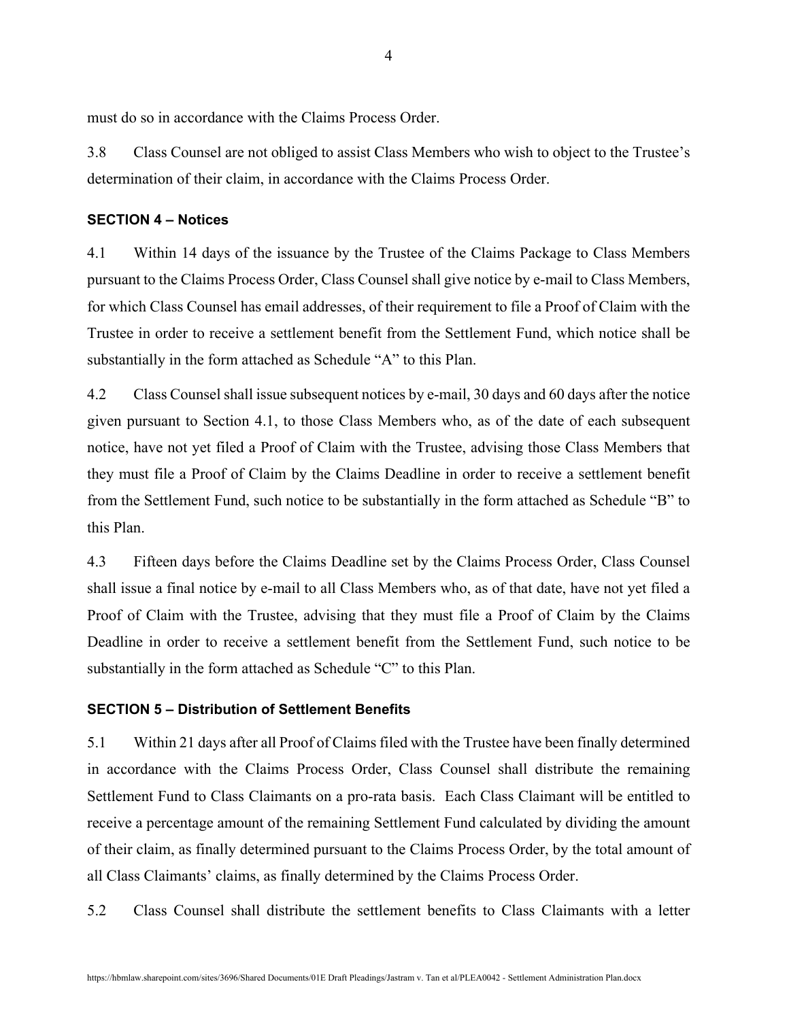must do so in accordance with the Claims Process Order.

3.8 Class Counsel are not obliged to assist Class Members who wish to object to the Trustee's determination of their claim, in accordance with the Claims Process Order.

#### **SECTION 4 – Notices**

4.1 Within 14 days of the issuance by the Trustee of the Claims Package to Class Members pursuant to the Claims Process Order, Class Counsel shall give notice by e-mail to Class Members, for which Class Counsel has email addresses, of their requirement to file a Proof of Claim with the Trustee in order to receive a settlement benefit from the Settlement Fund, which notice shall be substantially in the form attached as Schedule "A" to this Plan.

4.2 Class Counsel shall issue subsequent notices by e-mail, 30 days and 60 days after the notice given pursuant to Section 4.1, to those Class Members who, as of the date of each subsequent notice, have not yet filed a Proof of Claim with the Trustee, advising those Class Members that they must file a Proof of Claim by the Claims Deadline in order to receive a settlement benefit from the Settlement Fund, such notice to be substantially in the form attached as Schedule "B" to this Plan.

4.3 Fifteen days before the Claims Deadline set by the Claims Process Order, Class Counsel shall issue a final notice by e-mail to all Class Members who, as of that date, have not yet filed a Proof of Claim with the Trustee, advising that they must file a Proof of Claim by the Claims Deadline in order to receive a settlement benefit from the Settlement Fund, such notice to be substantially in the form attached as Schedule "C" to this Plan.

#### **SECTION 5 – Distribution of Settlement Benefits**

5.1 Within 21 days after all Proof of Claims filed with the Trustee have been finally determined in accordance with the Claims Process Order, Class Counsel shall distribute the remaining Settlement Fund to Class Claimants on a pro-rata basis. Each Class Claimant will be entitled to receive a percentage amount of the remaining Settlement Fund calculated by dividing the amount of their claim, as finally determined pursuant to the Claims Process Order, by the total amount of all Class Claimants' claims, as finally determined by the Claims Process Order.

5.2 Class Counsel shall distribute the settlement benefits to Class Claimants with a letter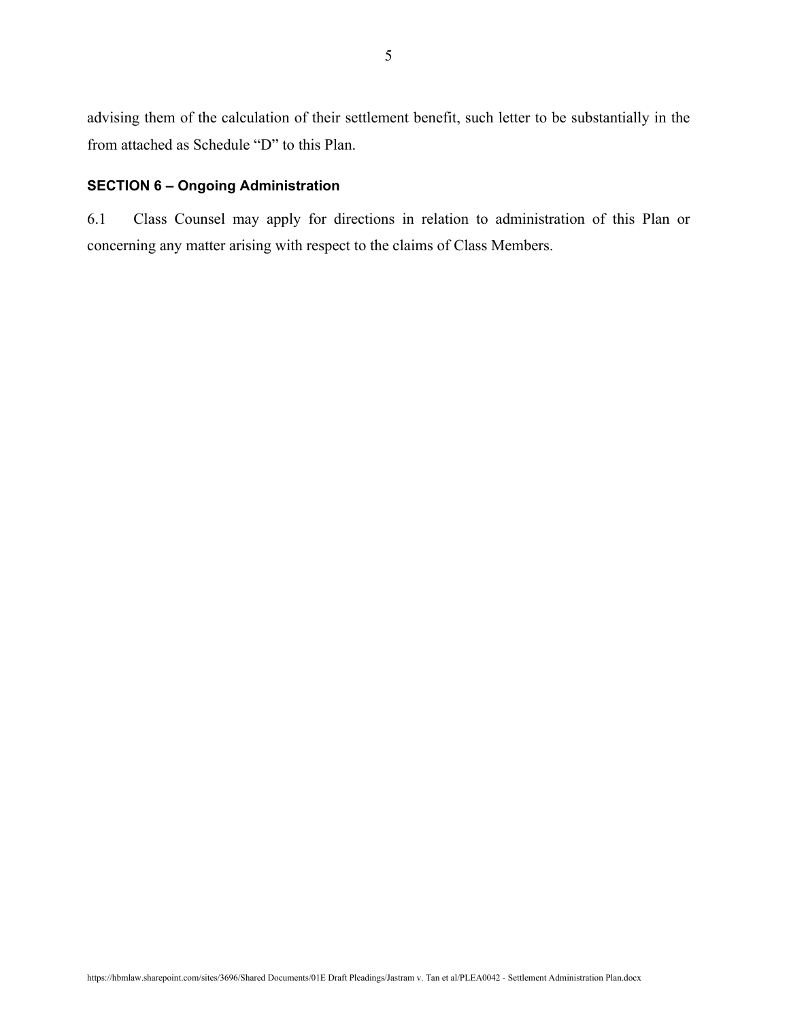advising them of the calculation of their settlement benefit, such letter to be substantially in the from attached as Schedule "D" to this Plan.

## **SECTION 6 – Ongoing Administration**

6.1 Class Counsel may apply for directions in relation to administration of this Plan or concerning any matter arising with respect to the claims of Class Members.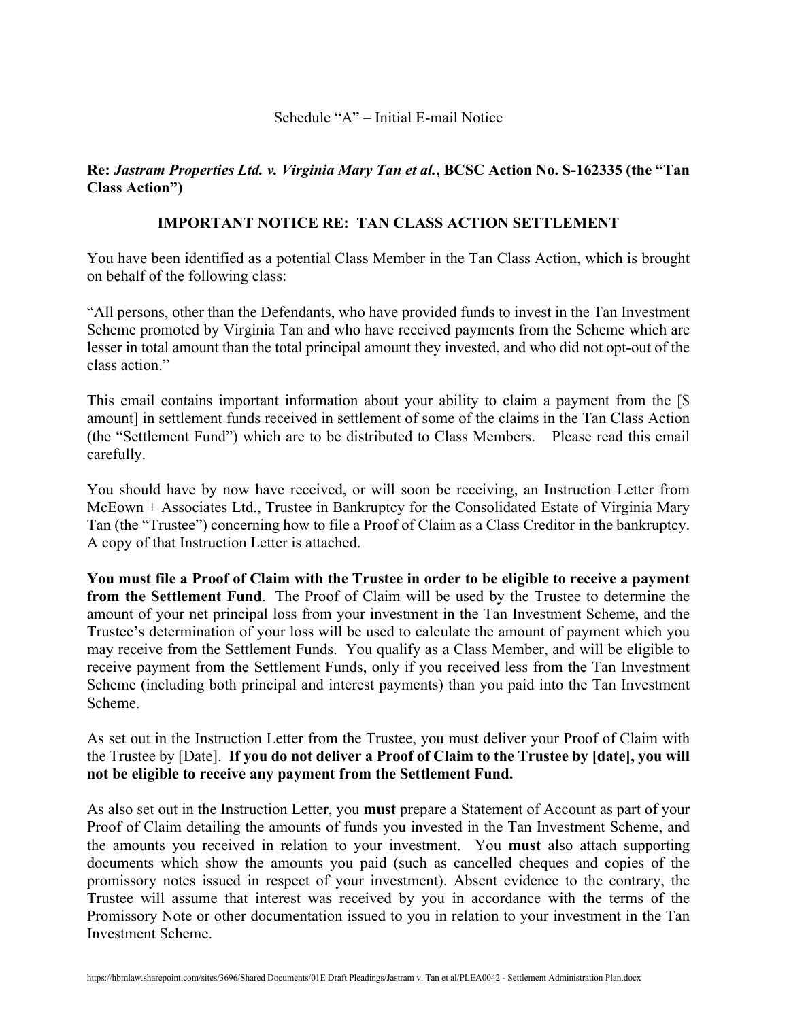#### Schedule "A" – Initial E-mail Notice

# **Re:** *Jastram Properties Ltd. v. Virginia Mary Tan et al.***, BCSC Action No. S-162335 (the "Tan Class Action")**

## **IMPORTANT NOTICE RE: TAN CLASS ACTION SETTLEMENT**

You have been identified as a potential Class Member in the Tan Class Action, which is brought on behalf of the following class:

"All persons, other than the Defendants, who have provided funds to invest in the Tan Investment Scheme promoted by Virginia Tan and who have received payments from the Scheme which are lesser in total amount than the total principal amount they invested, and who did not opt-out of the class action."

This email contains important information about your ability to claim a payment from the [\$ amount] in settlement funds received in settlement of some of the claims in the Tan Class Action (the "Settlement Fund") which are to be distributed to Class Members. Please read this email carefully.

You should have by now have received, or will soon be receiving, an Instruction Letter from McEown + Associates Ltd., Trustee in Bankruptcy for the Consolidated Estate of Virginia Mary Tan (the "Trustee") concerning how to file a Proof of Claim as a Class Creditor in the bankruptcy. A copy of that Instruction Letter is attached.

**You must file a Proof of Claim with the Trustee in order to be eligible to receive a payment from the Settlement Fund**. The Proof of Claim will be used by the Trustee to determine the amount of your net principal loss from your investment in the Tan Investment Scheme, and the Trustee's determination of your loss will be used to calculate the amount of payment which you may receive from the Settlement Funds. You qualify as a Class Member, and will be eligible to receive payment from the Settlement Funds, only if you received less from the Tan Investment Scheme (including both principal and interest payments) than you paid into the Tan Investment Scheme.

As set out in the Instruction Letter from the Trustee, you must deliver your Proof of Claim with the Trustee by [Date]. **If you do not deliver a Proof of Claim to the Trustee by [date], you will not be eligible to receive any payment from the Settlement Fund.**

As also set out in the Instruction Letter, you **must** prepare a Statement of Account as part of your Proof of Claim detailing the amounts of funds you invested in the Tan Investment Scheme, and the amounts you received in relation to your investment. You **must** also attach supporting documents which show the amounts you paid (such as cancelled cheques and copies of the promissory notes issued in respect of your investment). Absent evidence to the contrary, the Trustee will assume that interest was received by you in accordance with the terms of the Promissory Note or other documentation issued to you in relation to your investment in the Tan Investment Scheme.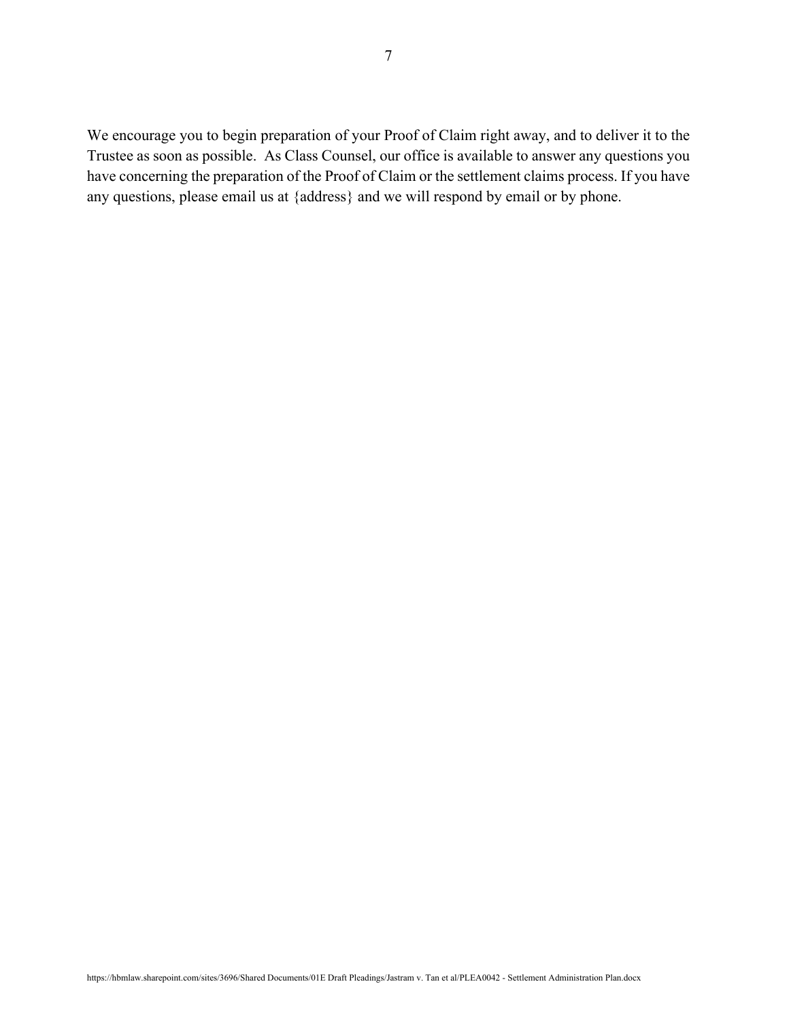We encourage you to begin preparation of your Proof of Claim right away, and to deliver it to the Trustee as soon as possible. As Class Counsel, our office is available to answer any questions you have concerning the preparation of the Proof of Claim or the settlement claims process. If you have any questions, please email us at {address} and we will respond by email or by phone.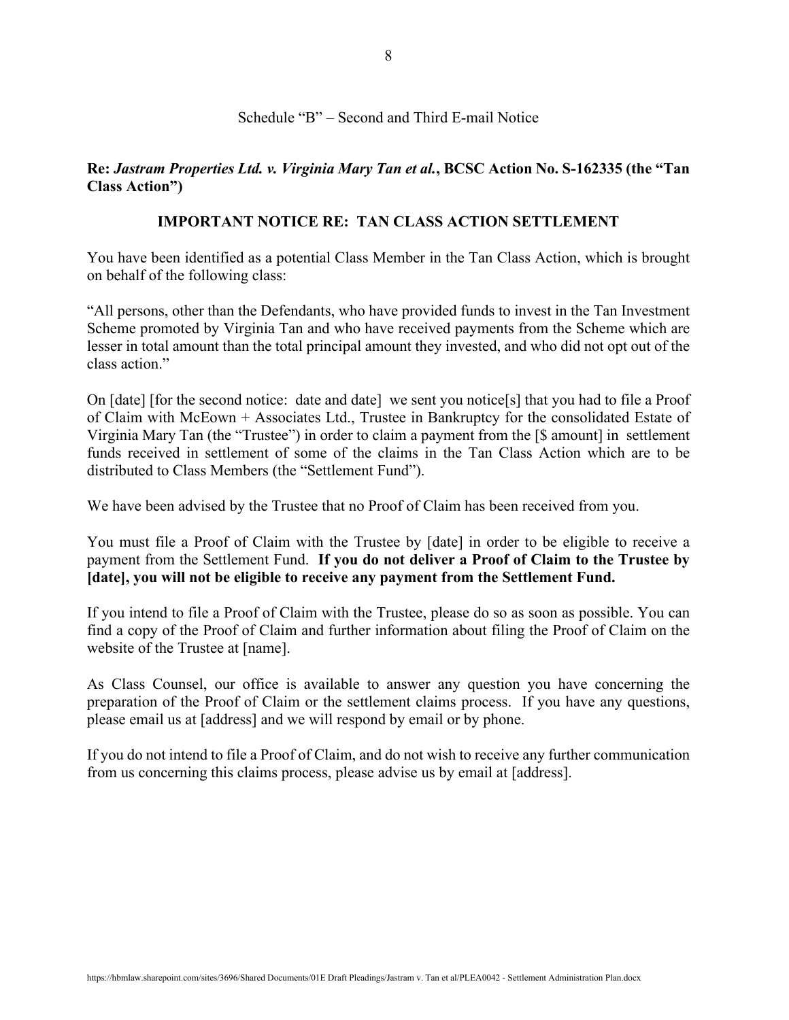## Schedule "B" – Second and Third E-mail Notice

## **Re:** *Jastram Properties Ltd. v. Virginia Mary Tan et al.***, BCSC Action No. S-162335 (the "Tan Class Action")**

#### **IMPORTANT NOTICE RE: TAN CLASS ACTION SETTLEMENT**

You have been identified as a potential Class Member in the Tan Class Action, which is brought on behalf of the following class:

"All persons, other than the Defendants, who have provided funds to invest in the Tan Investment Scheme promoted by Virginia Tan and who have received payments from the Scheme which are lesser in total amount than the total principal amount they invested, and who did not opt out of the class action."

On [date] [for the second notice: date and date] we sent you notice[s] that you had to file a Proof of Claim with McEown + Associates Ltd., Trustee in Bankruptcy for the consolidated Estate of Virginia Mary Tan (the "Trustee") in order to claim a payment from the [\$ amount] in settlement funds received in settlement of some of the claims in the Tan Class Action which are to be distributed to Class Members (the "Settlement Fund").

We have been advised by the Trustee that no Proof of Claim has been received from you.

You must file a Proof of Claim with the Trustee by [date] in order to be eligible to receive a payment from the Settlement Fund. **If you do not deliver a Proof of Claim to the Trustee by [date], you will not be eligible to receive any payment from the Settlement Fund.**

If you intend to file a Proof of Claim with the Trustee, please do so as soon as possible. You can find a copy of the Proof of Claim and further information about filing the Proof of Claim on the website of the Trustee at [name].

As Class Counsel, our office is available to answer any question you have concerning the preparation of the Proof of Claim or the settlement claims process. If you have any questions, please email us at [address] and we will respond by email or by phone.

If you do not intend to file a Proof of Claim, and do not wish to receive any further communication from us concerning this claims process, please advise us by email at [address].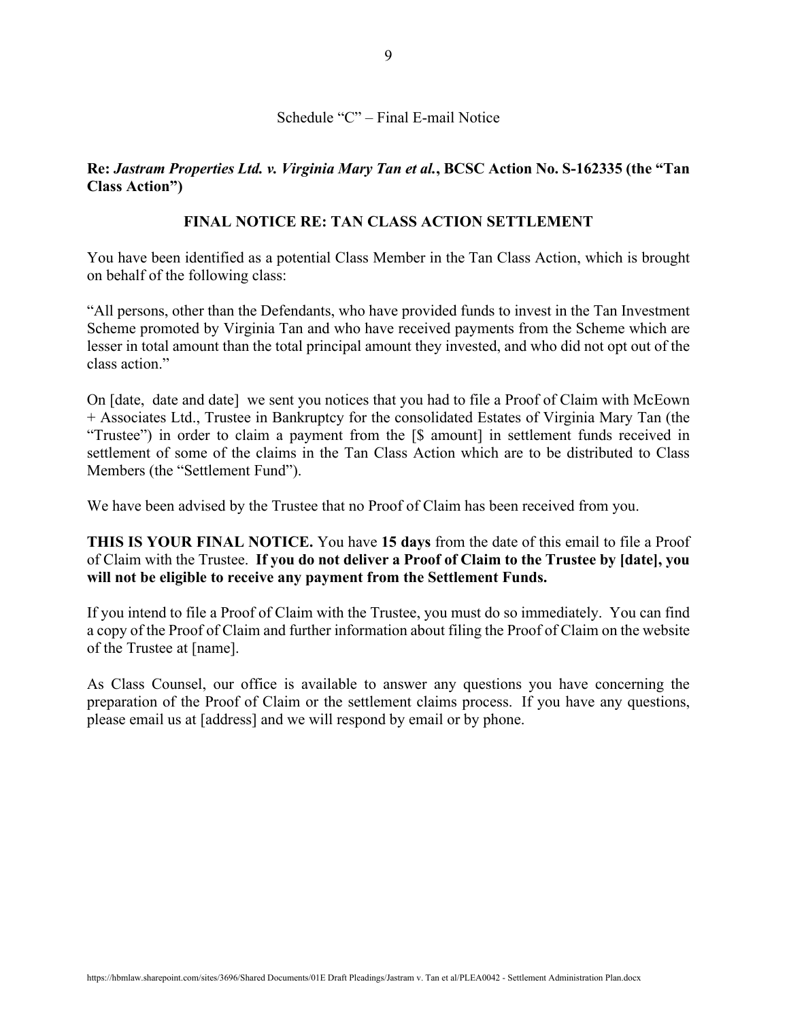# Schedule "C" – Final E-mail Notice

## **Re:** *Jastram Properties Ltd. v. Virginia Mary Tan et al.***, BCSC Action No. S-162335 (the "Tan Class Action")**

#### **FINAL NOTICE RE: TAN CLASS ACTION SETTLEMENT**

You have been identified as a potential Class Member in the Tan Class Action, which is brought on behalf of the following class:

"All persons, other than the Defendants, who have provided funds to invest in the Tan Investment Scheme promoted by Virginia Tan and who have received payments from the Scheme which are lesser in total amount than the total principal amount they invested, and who did not opt out of the class action."

On [date, date and date] we sent you notices that you had to file a Proof of Claim with McEown + Associates Ltd., Trustee in Bankruptcy for the consolidated Estates of Virginia Mary Tan (the "Trustee") in order to claim a payment from the [\$ amount] in settlement funds received in settlement of some of the claims in the Tan Class Action which are to be distributed to Class Members (the "Settlement Fund").

We have been advised by the Trustee that no Proof of Claim has been received from you.

**THIS IS YOUR FINAL NOTICE.** You have **15 days** from the date of this email to file a Proof of Claim with the Trustee. **If you do not deliver a Proof of Claim to the Trustee by [date], you will not be eligible to receive any payment from the Settlement Funds.**

If you intend to file a Proof of Claim with the Trustee, you must do so immediately. You can find a copy of the Proof of Claim and further information about filing the Proof of Claim on the website of the Trustee at [name].

As Class Counsel, our office is available to answer any questions you have concerning the preparation of the Proof of Claim or the settlement claims process. If you have any questions, please email us at [address] and we will respond by email or by phone.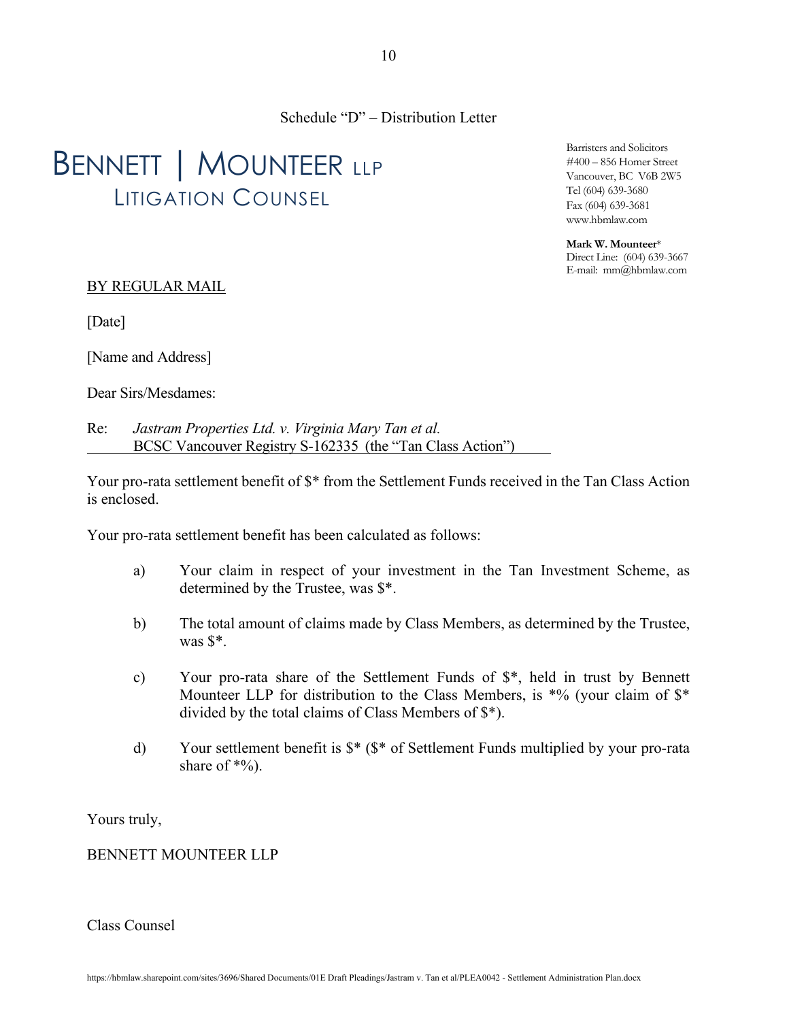Schedule "D" – Distribution Letter

# BENNETT | MOUNTEER LLP LITIGATION COUNSEL

Barristers and Solicitors #400 – 856 Homer Street Vancouver, BC V6B 2W5 Tel (604) 639-3680 Fax (604) 639-3681 www.hbmlaw.com

**Mark W. Mounteer**\* Direct Line: (604) 639-3667 E-mail: mm@hbmlaw.com

## BY REGULAR MAIL

[Date]

[Name and Address]

Dear Sirs/Mesdames:

Re: *Jastram Properties Ltd. v. Virginia Mary Tan et al.* BCSC Vancouver Registry S-162335 (the "Tan Class Action")

Your pro-rata settlement benefit of \$\* from the Settlement Funds received in the Tan Class Action is enclosed.

Your pro-rata settlement benefit has been calculated as follows:

- a) Your claim in respect of your investment in the Tan Investment Scheme, as determined by the Trustee, was \$\*.
- b) The total amount of claims made by Class Members, as determined by the Trustee, was \$\*.
- c) Your pro-rata share of the Settlement Funds of \$\*, held in trust by Bennett Mounteer LLP for distribution to the Class Members, is  $*%$  (your claim of  $*$ divided by the total claims of Class Members of \$\*).
- d) Your settlement benefit is \$\* (\$\* of Settlement Funds multiplied by your pro-rata share of  $*$ %).

Yours truly,

BENNETT MOUNTEER LLP

Class Counsel